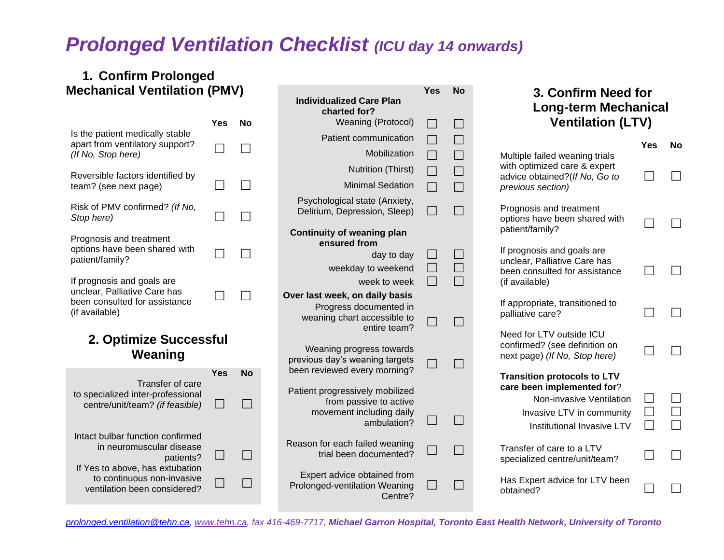## *Prolonged Ventilation Checklist (ICU day 14 onwards)*

### **1. Confirm Prolonged Mechanical Ventilation (PMV)**

|                                                                                                               | <b>Yes</b>               | <b>No</b>           | <b>Individualized Care Plan</b><br>charted for?<br>Weaning (Protocol)                                                                | $\blacksquare$    | $\Box$                      | <b>Long-term Mechanical</b><br><b>Ventilation (LTV)</b>                                                                                                 |     |    |
|---------------------------------------------------------------------------------------------------------------|--------------------------|---------------------|--------------------------------------------------------------------------------------------------------------------------------------|-------------------|-----------------------------|---------------------------------------------------------------------------------------------------------------------------------------------------------|-----|----|
| Is the patient medically stable<br>apart from ventilatory support?                                            |                          |                     | Patient communication                                                                                                                |                   | $\Box$                      |                                                                                                                                                         |     |    |
| (If No, Stop here)                                                                                            |                          |                     | Mobilization                                                                                                                         | $\Box$            | $\Box$                      | Multiple failed weaning trials                                                                                                                          | Yes | No |
| Reversible factors identified by                                                                              |                          |                     | Nutrition (Thirst)                                                                                                                   | $\Box$            | $\Box$                      | with optimized care & expert<br>advice obtained?(If No, Go to                                                                                           |     |    |
| team? (see next page)                                                                                         |                          |                     | <b>Minimal Sedation</b>                                                                                                              | $\Box$            | $\Box$                      | previous section)                                                                                                                                       |     |    |
| Risk of PMV confirmed? (If No,<br>Stop here)                                                                  |                          |                     | Psychological state (Anxiety,<br>Delirium, Depression, Sleep)                                                                        | $\Box$            | $\Box$                      | Prognosis and treatment<br>options have been shared with                                                                                                |     |    |
| Prognosis and treatment<br>options have been shared with                                                      |                          |                     | <b>Continuity of weaning plan</b><br>ensured from                                                                                    |                   |                             | patient/family?                                                                                                                                         |     |    |
| patient/family?                                                                                               |                          |                     | day to day                                                                                                                           | $\Box$            | $\Box$                      | If prognosis and goals are<br>unclear, Palliative Care has                                                                                              |     |    |
|                                                                                                               |                          |                     | weekday to weekend                                                                                                                   |                   | $\Box$                      | been consulted for assistance                                                                                                                           |     |    |
| If prognosis and goals are<br>unclear, Palliative Care has<br>been consulted for assistance<br>(if available) |                          |                     | week to week<br>Over last week, on daily basis<br>Progress documented in<br>weaning chart accessible to<br>entire team?              | $\vert \ \ \vert$ | $\Box$                      | (if available)<br>If appropriate, transitioned to<br>palliative care?                                                                                   |     |    |
| 2. Optimize Successful<br>Weaning                                                                             |                          |                     | Weaning progress towards<br>previous day's weaning targets                                                                           |                   |                             | Need for LTV outside ICU<br>confirmed? (see definition on<br>next page) (If No, Stop here)                                                              |     |    |
| Transfer of care<br>to specialized inter-professional<br>centre/unit/team? (if feasible)                      | <b>Yes</b><br>$\sim$     | <b>No</b><br>$\Box$ | been reviewed every morning?<br>Patient progressively mobilized<br>from passive to active<br>movement including daily<br>ambulation? |                   |                             | <b>Transition protocols to LTV</b><br>care been implemented for?<br>Non-invasive Ventilation<br>Invasive LTV in community<br>Institutional Invasive LTV |     |    |
| Intact bulbar function confirmed<br>in neuromuscular disease<br>patients?                                     | $\overline{\phantom{a}}$ | $\Box$              | Reason for each failed weaning<br>trial been documented?                                                                             |                   | $\mathcal{L}_{\mathcal{A}}$ | Transfer of care to a LTV<br>specialized centre/unit/team?                                                                                              |     |    |
| If Yes to above, has extubation<br>to continuous non-invasive<br>ventilation been considered?                 |                          | $\Box$              | Expert advice obtained from<br>Prolonged-ventilation Weaning<br>Centre?                                                              |                   | H                           | Has Expert advice for LTV been<br>obtained?                                                                                                             |     |    |

**Yes No**

**3. Confirm Need for**

*[prolonged.ventilation@tehn.ca,](mailto:prolonged.ventilation@tehn.ca) [www.tehn.ca,](http://www.tehn.ca/) fax 416-469-7717, Michael Garron Hospital, Toronto East Health Network, University of Toronto*